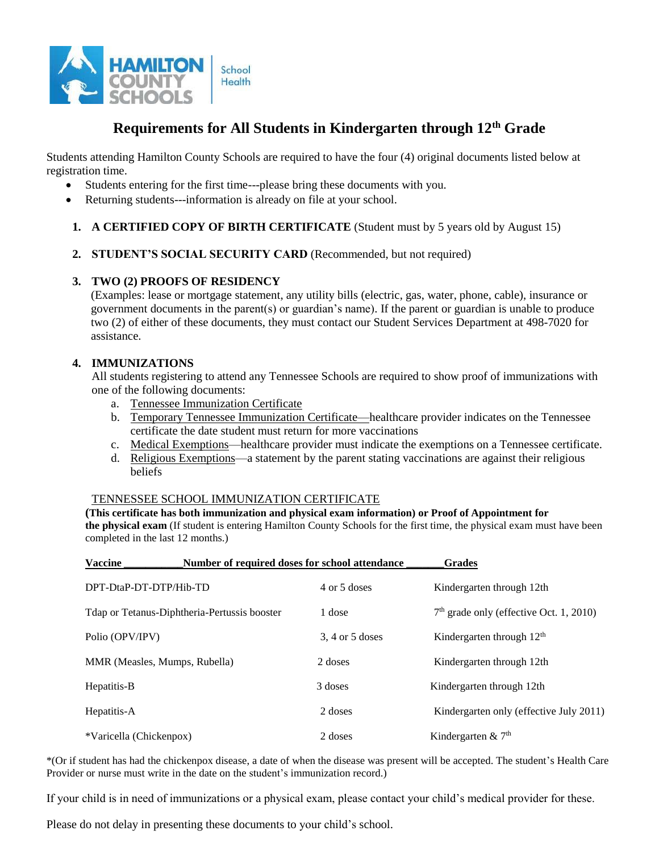

# **Requirements for All Students in Kindergarten through 12th Grade**

Students attending Hamilton County Schools are required to have the four (4) original documents listed below at registration time.

- Students entering for the first time---please bring these documents with you.
- Returning students---information is already on file at your school.
- **1. A CERTIFIED COPY OF BIRTH CERTIFICATE** (Student must by 5 years old by August 15)
- **2. STUDENT'S SOCIAL SECURITY CARD** (Recommended, but not required)

## **3. TWO (2) PROOFS OF RESIDENCY**

(Examples: lease or mortgage statement, any utility bills (electric, gas, water, phone, cable), insurance or government documents in the parent(s) or guardian's name). If the parent or guardian is unable to produce two (2) of either of these documents, they must contact our Student Services Department at 498-7020 for assistance.

## **4. IMMUNIZATIONS**

All students registering to attend any Tennessee Schools are required to show proof of immunizations with one of the following documents:

- a. Tennessee Immunization Certificate
- b. Temporary Tennessee Immunization Certificate—healthcare provider indicates on the Tennessee certificate the date student must return for more vaccinations
- c. Medical Exemptions—healthcare provider must indicate the exemptions on a Tennessee certificate.
- d. Religious Exemptions—a statement by the parent stating vaccinations are against their religious beliefs

#### TENNESSEE SCHOOL IMMUNIZATION CERTIFICATE

#### **(This certificate has both immunization and physical exam information) or Proof of Appointment for**

**the physical exam** (If student is entering Hamilton County Schools for the first time, the physical exam must have been completed in the last 12 months.)

| <b>Vaccine</b><br>Number of required doses for school attendance |                     | <b>Grades</b>                             |
|------------------------------------------------------------------|---------------------|-------------------------------------------|
| DPT-DtaP-DT-DTP/Hib-TD                                           | 4 or 5 doses        | Kindergarten through 12th                 |
| Tdap or Tetanus-Diphtheria-Pertussis booster                     | 1 dose              | $7th$ grade only (effective Oct. 1, 2010) |
| Polio (OPV/IPV)                                                  | $3, 4$ or $5$ doses | Kindergarten through $12th$               |
| MMR (Measles, Mumps, Rubella)                                    | 2 doses             | Kindergarten through 12th                 |
| Hepatitis-B                                                      | 3 doses             | Kindergarten through 12th                 |
| Hepatitis-A                                                      | 2 doses             | Kindergarten only (effective July 2011)   |
| *Varicella (Chickenpox)                                          | 2 doses             | Kindergarten & $7th$                      |

\*(Or if student has had the chickenpox disease, a date of when the disease was present will be accepted. The student's Health Care Provider or nurse must write in the date on the student's immunization record.)

If your child is in need of immunizations or a physical exam, please contact your child's medical provider for these.

Please do not delay in presenting these documents to your child's school.